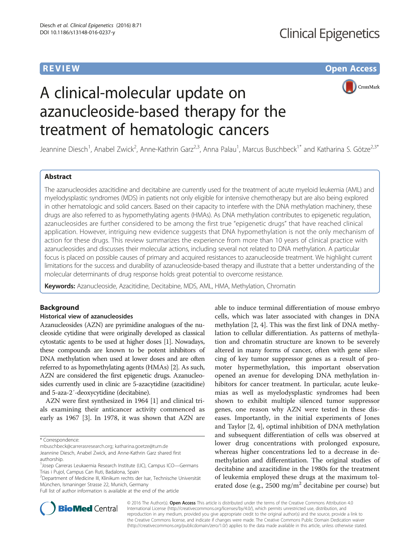### **REVIEW CONSTRUCTION CONSTRUCTION CONSTRUCTS**



# A clinical-molecular update on azanucleoside-based therapy for the treatment of hematologic cancers

Jeannine Diesch<sup>1</sup>, Anabel Zwick<sup>2</sup>, Anne-Kathrin Garz<sup>2,3</sup>, Anna Palau<sup>1</sup>, Marcus Buschbeck<sup>1\*</sup> and Katharina S. Götze<sup>2,3\*</sup>

#### Abstract

The azanucleosides azacitidine and decitabine are currently used for the treatment of acute myeloid leukemia (AML) and myelodysplastic syndromes (MDS) in patients not only eligible for intensive chemotherapy but are also being explored in other hematologic and solid cancers. Based on their capacity to interfere with the DNA methylation machinery, these drugs are also referred to as hypomethylating agents (HMAs). As DNA methylation contributes to epigenetic regulation, azanucleosides are further considered to be among the first true "epigenetic drugs" that have reached clinical application. However, intriguing new evidence suggests that DNA hypomethylation is not the only mechanism of action for these drugs. This review summarizes the experience from more than 10 years of clinical practice with azanucleosides and discusses their molecular actions, including several not related to DNA methylation. A particular focus is placed on possible causes of primary and acquired resistances to azanucleoside treatment. We highlight current limitations for the success and durability of azanucleoside-based therapy and illustrate that a better understanding of the molecular determinants of drug response holds great potential to overcome resistance.

Keywords: Azanucleoside, Azacitidine, Decitabine, MDS, AML, HMA, Methylation, Chromatin

#### **Background**

#### Historical view of azanucleosides

Azanucleosides (AZN) are pyrimidine analogues of the nucleoside cytidine that were originally developed as classical cytostatic agents to be used at higher doses [\[1\]](#page-8-0). Nowadays, these compounds are known to be potent inhibitors of DNA methylation when used at lower doses and are often referred to as hypomethylating agents (HMAs) [\[2\]](#page-8-0). As such, AZN are considered the first epigenetic drugs. Azanucleosides currently used in clinic are 5-azacytidine (azacitidine) and 5-aza-2′-deoxycytidine (decitabine).

AZN were first synthesized in 1964 [[1](#page-8-0)] and clinical trials examining their anticancer activity commenced as early as 1967 [[3\]](#page-8-0). In 1978, it was shown that AZN are

\* Correspondence:

[mbuschbeck@carrerasresearch.org;](mailto:mbuschbeck@carrerasresearch.org) [katharina.goetze@tum.de](mailto:katharina.goetze@tum.de) Jeannine Diesch, Anabel Zwick, and Anne-Kathrin Garz shared first authorship.

<sup>2</sup>Department of Medicine III, Klinikum rechts der Isar, Technische Universität München, Ismaninger Strasse 22, Munich, Germany

Full list of author information is available at the end of the article

able to induce terminal differentiation of mouse embryo cells, which was later associated with changes in DNA methylation [\[2](#page-8-0), [4](#page-8-0)]. This was the first link of DNA methylation to cellular differentiation. As patterns of methylation and chromatin structure are known to be severely altered in many forms of cancer, often with gene silencing of key tumor suppressor genes as a result of promoter hypermethylation, this important observation opened an avenue for developing DNA methylation inhibitors for cancer treatment. In particular, acute leukemias as well as myelodysplastic syndromes had been shown to exhibit multiple silenced tumor suppressor genes, one reason why AZN were tested in these diseases. Importantly, in the initial experiments of Jones and Taylor [[2](#page-8-0), [4](#page-8-0)], optimal inhibition of DNA methylation and subsequent differentiation of cells was observed at lower drug concentrations with prolonged exposure, whereas higher concentrations led to a decrease in demethylation and differentiation. The original studies of decitabine and azacitidine in the 1980s for the treatment of leukemia employed these drugs at the maximum tolerated dose (e.g., 2500 mg/m<sup>2</sup> decitabine per course) but



© 2016 The Author(s). Open Access This article is distributed under the terms of the Creative Commons Attribution 4.0 International License [\(http://creativecommons.org/licenses/by/4.0/](http://creativecommons.org/licenses/by/4.0/)), which permits unrestricted use, distribution, and reproduction in any medium, provided you give appropriate credit to the original author(s) and the source, provide a link to the Creative Commons license, and indicate if changes were made. The Creative Commons Public Domain Dedication waiver [\(http://creativecommons.org/publicdomain/zero/1.0/](http://creativecommons.org/publicdomain/zero/1.0/)) applies to the data made available in this article, unless otherwise stated.

<sup>&</sup>lt;sup>1</sup> Josep Carreras Leukaemia Research Institute (IJC), Campus ICO-Germans Trias i Pujol, Campus Can Ruti, Badalona, Spain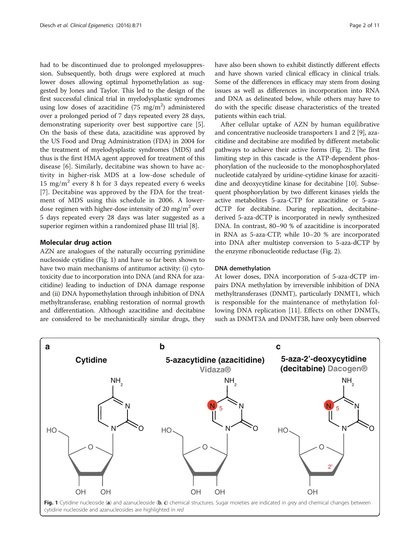had to be discontinued due to prolonged myelosuppression. Subsequently, both drugs were explored at much lower doses allowing optimal hypomethylation as suggested by Jones and Taylor. This led to the design of the first successful clinical trial in myelodysplastic syndromes using low doses of azacitidine  $(75 \text{ mg/m}^2)$  administered over a prolonged period of 7 days repeated every 28 days, demonstrating superiority over best supportive care [[5](#page-8-0)]. On the basis of these data, azacitidine was approved by the US Food and Drug Administration (FDA) in 2004 for the treatment of myelodysplastic syndromes (MDS) and thus is the first HMA agent approved for treatment of this disease [[6\]](#page-8-0). Similarly, decitabine was shown to have activity in higher-risk MDS at a low-dose schedule of 15 mg/m<sup>2</sup> every 8 h for 3 days repeated every 6 weeks [[7\]](#page-8-0). Decitabine was approved by the FDA for the treatment of MDS using this schedule in 2006. A lowerdose regimen with higher-dose intensity of 20 mg/m<sup>2</sup> over 5 days repeated every 28 days was later suggested as a superior regimen within a randomized phase III trial [\[8\]](#page-8-0).

#### Molecular drug action

AZN are analogues of the naturally occurring pyrimidine nucleoside cytidine (Fig. 1) and have so far been shown to have two main mechanisms of antitumor activity: (i) cytotoxicity due to incorporation into DNA (and RNA for azacitidine) leading to induction of DNA damage response and (ii) DNA hypomethylation through inhibition of DNA methyltransferase, enabling restoration of normal growth and differentiation. Although azacitidine and decitabine are considered to be mechanistically similar drugs, they have also been shown to exhibit distinctly different effects and have shown varied clinical efficacy in clinical trials. Some of the differences in efficacy may stem from dosing issues as well as differences in incorporation into RNA and DNA as delineated below, while others may have to do with the specific disease characteristics of the treated patients within each trial.

After cellular uptake of AZN by human equilibrative and concentrative nucleoside transporters 1 and 2 [[9](#page-8-0)], azacitidine and decitabine are modified by different metabolic pathways to achieve their active forms (Fig. [2\)](#page-2-0). The first limiting step in this cascade is the ATP-dependent phosphorylation of the nucleoside to the monophosphorylated nucleotide catalyzed by uridine-cytidine kinase for azacitidine and deoxycytidine kinase for decitabine [\[10](#page-8-0)]. Subsequent phosphorylation by two different kinases yields the active metabolites 5-aza-CTP for azacitidine or 5-azadCTP for decitabine. During replication, decitabinederived 5-aza-dCTP is incorporated in newly synthesized DNA. In contrast, 80–90 % of azacitidine is incorporated in RNA as 5-aza-CTP, while 10–20 % are incorporated into DNA after multistep conversion to 5-aza-dCTP by the enzyme ribonucleotide reductase (Fig. [2](#page-2-0)).

#### DNA demethylation

At lower doses, DNA incorporation of 5-aza-dCTP impairs DNA methylation by irreversible inhibition of DNA methyltransferases (DNMT), particularly DNMT1, which is responsible for the maintenance of methylation following DNA replication [\[11](#page-8-0)]. Effects on other DNMTs, such as DNMT3A and DNMT3B, have only been observed

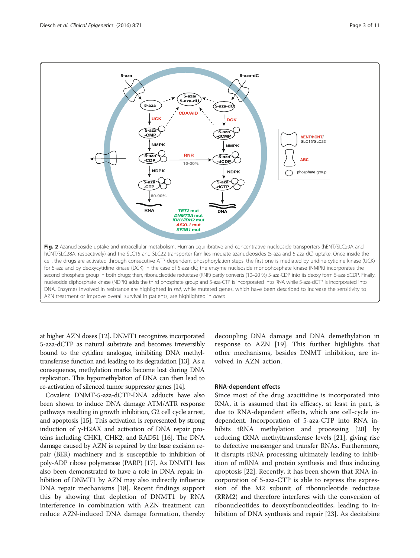<span id="page-2-0"></span>

at higher AZN doses [\[12\]](#page-8-0). DNMT1 recognizes incorporated 5-aza-dCTP as natural substrate and becomes irreversibly bound to the cytidine analogue, inhibiting DNA methyltransferase function and leading to its degradation [\[13\]](#page-8-0). As a consequence, methylation marks become lost during DNA replication. This hypomethylation of DNA can then lead to re-activation of silenced tumor suppressor genes [\[14](#page-8-0)].

Covalent DNMT-5-aza-dCTP-DNA adducts have also been shown to induce DNA damage ATM/ATR response pathways resulting in growth inhibition, G2 cell cycle arrest, and apoptosis [\[15](#page-8-0)]. This activation is represented by strong induction of γ-H2AX and activation of DNA repair proteins including CHK1, CHK2, and RAD51 [[16\]](#page-8-0). The DNA damage caused by AZN is repaired by the base excision repair (BER) machinery and is susceptible to inhibition of poly-ADP ribose polymerase (PARP) [\[17\]](#page-8-0). As DNMT1 has also been demonstrated to have a role in DNA repair, inhibition of DNMT1 by AZN may also indirectly influence DNA repair mechanisms [[18](#page-8-0)]. Recent findings support this by showing that depletion of DNMT1 by RNA interference in combination with AZN treatment can reduce AZN-induced DNA damage formation, thereby decoupling DNA damage and DNA demethylation in response to AZN [[19\]](#page-8-0). This further highlights that other mechanisms, besides DNMT inhibition, are involved in AZN action.

#### RNA-dependent effects

Since most of the drug azacitidine is incorporated into RNA, it is assumed that its efficacy, at least in part, is due to RNA-dependent effects, which are cell-cycle independent. Incorporation of 5-aza-CTP into RNA inhibits tRNA methylation and processing [[20\]](#page-8-0) by reducing tRNA methyltransferase levels [[21\]](#page-8-0), giving rise to defective messenger and transfer RNAs. Furthermore, it disrupts rRNA processing ultimately leading to inhibition of mRNA and protein synthesis and thus inducing apoptosis [\[22](#page-8-0)]. Recently, it has been shown that RNA incorporation of 5-aza-CTP is able to repress the expression of the M2 subunit of ribonucleotide reductase (RRM2) and therefore interferes with the conversion of ribonucleotides to deoxyribonucleotides, leading to inhibition of DNA synthesis and repair [\[23](#page-8-0)]. As decitabine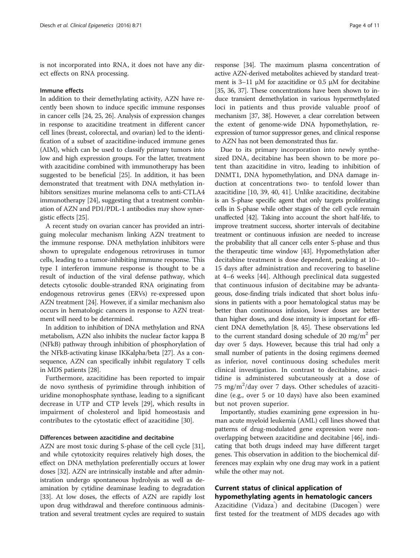is not incorporated into RNA, it does not have any direct effects on RNA processing.

#### Immune effects

In addition to their demethylating activity, AZN have recently been shown to induce specific immune responses in cancer cells [[24](#page-8-0), [25](#page-8-0), [26\]](#page-8-0). Analysis of expression changes in response to azacitidine treatment in different cancer cell lines (breast, colorectal, and ovarian) led to the identification of a subset of azacitidine-induced immune genes (AIM), which can be used to classify primary tumors into low and high expression groups. For the latter, treatment with azacitidine combined with immunotherapy has been suggested to be beneficial [[25](#page-8-0)]. In addition, it has been demonstrated that treatment with DNA methylation inhibitors sensitizes murine melanoma cells to anti-CTLA4 immunotherapy [[24](#page-8-0)], suggesting that a treatment combination of AZN and PD1/PDL-1 antibodies may show synergistic effects [\[25\]](#page-8-0).

A recent study on ovarian cancer has provided an intriguing molecular mechanism linking AZN treatment to the immune response. DNA methylation inhibitors were shown to upregulate endogenous retroviruses in tumor cells, leading to a tumor-inhibiting immune response. This type I interferon immune response is thought to be a result of induction of the viral defense pathway, which detects cytosolic double-stranded RNA originating from endogenous retrovirus genes (ERVs) re-expressed upon AZN treatment [\[24](#page-8-0)]. However, if a similar mechanism also occurs in hematologic cancers in response to AZN treatment will need to be determined.

In addition to inhibition of DNA methylation and RNA metabolism, AZN also inhibits the nuclear factor kappa B (NFkB) pathway through inhibition of phosphorylation of the NFkB-activating kinase IKKalpha/beta [[27\]](#page-8-0). As a consequence, AZN can specifically inhibit regulatory T cells in MDS patients [\[28\]](#page-8-0).

Furthermore, azacitidine has been reported to impair de novo synthesis of pyrimidine through inhibition of uridine monophosphate synthase, leading to a significant decrease in UTP and CTP levels [[29](#page-8-0)], which results in impairment of cholesterol and lipid homeostasis and contributes to the cytostatic effect of azacitidine [[30\]](#page-8-0).

#### Differences between azacitidine and decitabine

AZN are most toxic during S-phase of the cell cycle [[31](#page-8-0)], and while cytotoxicity requires relatively high doses, the effect on DNA methylation preferentially occurs at lower doses [\[32](#page-8-0)]. AZN are intrinsically instable and after administration undergo spontaneous hydrolysis as well as deamination by cytidine deaminase leading to degradation [[33](#page-8-0)]. At low doses, the effects of AZN are rapidly lost upon drug withdrawal and therefore continuous administration and several treatment cycles are required to sustain

response [\[34\]](#page-8-0). The maximum plasma concentration of active AZN-derived metabolites achieved by standard treatment is 3–11 μM for azacitidine or 0.5 μM for decitabine [[35](#page-9-0), [36](#page-9-0), [37\]](#page-9-0). These concentrations have been shown to induce transient demethylation in various hypermethylated loci in patients and thus provide valuable proof of mechanism [\[37, 38\]](#page-9-0). However, a clear correlation between the extent of genome-wide DNA hypomethylation, reexpression of tumor suppressor genes, and clinical response to AZN has not been demonstrated thus far.

Due to its primary incorporation into newly synthesized DNA, decitabine has been shown to be more potent than azacitidine in vitro, leading to inhibition of DNMT1, DNA hypomethylation, and DNA damage induction at concentrations two- to tenfold lower than azacitidine [[10](#page-8-0), [39](#page-9-0), [40](#page-9-0), [41\]](#page-9-0). Unlike azacitidine, decitabine is an S-phase specific agent that only targets proliferating cells in S-phase while other stages of the cell cycle remain unaffected [\[42\]](#page-9-0). Taking into account the short half-life, to improve treatment success, shorter intervals of decitabine treatment or continuous infusion are needed to increase the probability that all cancer cells enter S-phase and thus the therapeutic time window [[43](#page-9-0)]. Hypomethylation after decitabine treatment is dose dependent, peaking at 10– 15 days after administration and recovering to baseline at 4–6 weeks [[44\]](#page-9-0). Although preclinical data suggested that continuous infusion of decitabine may be advantageous, dose-finding trials indicated that short bolus infusions in patients with a poor hematological status may be better than continuous infusion, lower doses are better than higher doses, and dose intensity is important for efficient DNA demethylation [\[8](#page-8-0), [45\]](#page-9-0). These observations led to the current standard dosing schedule of 20 mg/m<sup>2</sup> per day over 5 days. However, because this trial had only a small number of patients in the dosing regimens deemed as inferior, novel continuous dosing schedules merit clinical investigation. In contrast to decitabine, azacitidine is administered subcutaneously at a dose of 75 mg/m<sup>2</sup>/day over 7 days. Other schedules of azacitidine (e.g., over 5 or 10 days) have also been examined but not proven superior.

Importantly, studies examining gene expression in human acute myeloid leukemia (AML) cell lines showed that patterns of drug-modulated gene expression were nonoverlapping between azacitidine and decitabine [[46](#page-9-0)], indicating that both drugs indeed may have different target genes. This observation in addition to the biochemical differences may explain why one drug may work in a patient while the other may not.

#### Current status of clinical application of hypomethylating agents in hematologic cancers

Azacitidine (Vidaza<sup>®</sup>) and decitabine (Dacogen<sup>®</sup>) were first tested for the treatment of MDS decades ago with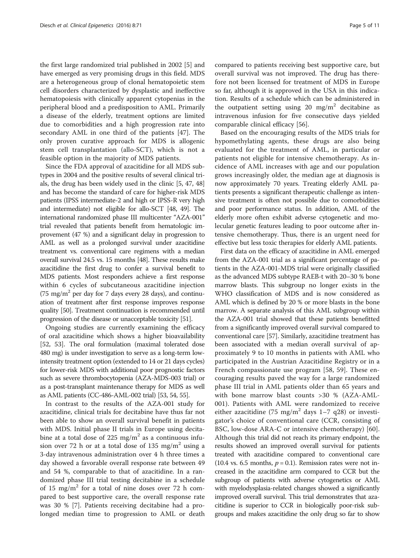the first large randomized trial published in 2002 [\[5](#page-8-0)] and have emerged as very promising drugs in this field. MDS are a heterogeneous group of clonal hematopoietic stem cell disorders characterized by dysplastic and ineffective hematopoiesis with clinically apparent cytopenias in the peripheral blood and a predisposition to AML. Primarily a disease of the elderly, treatment options are limited due to comorbidities and a high progression rate into secondary AML in one third of the patients [[47\]](#page-9-0). The only proven curative approach for MDS is allogenic stem cell transplantation (allo-SCT), which is not a feasible option in the majority of MDS patients.

Since the FDA approval of azacitidine for all MDS subtypes in 2004 and the positive results of several clinical trials, the drug has been widely used in the clinic [\[5,](#page-8-0) [47, 48](#page-9-0)] and has become the standard of care for higher-risk MDS patients (IPSS intermediate-2 and high or IPSS-R very high and intermediate) not eligible for allo-SCT [\[48](#page-9-0), [49](#page-9-0)]. The international randomized phase III multicenter "AZA-001" trial revealed that patients benefit from hematologic improvement (47 %) and a significant delay in progression to AML as well as a prolonged survival under azacitidine treatment vs. conventional care regimens with a median overall survival 24.5 vs. 15 months [[48](#page-9-0)]. These results make azacitidine the first drug to confer a survival benefit to MDS patients. Most responders achieve a first response within 6 cycles of subcutaneous azacitidine injection  $(75 \text{ mg/m}^2 \text{ per day for } 7 \text{ days every } 28 \text{ days})$ , and continuation of treatment after first response improves response quality [\[50](#page-9-0)]. Treatment continuation is recommended until progression of the disease or unacceptable toxicity [[51](#page-9-0)].

Ongoing studies are currently examining the efficacy of oral azacitidine which shows a higher bioavailability [[52, 53](#page-9-0)]. The oral formulation (maximal tolerated dose 480 mg) is under investigation to serve as a long-term lowintensity treatment option (extended to 14 or 21 days cycles) for lower-risk MDS with additional poor prognostic factors such as severe thrombocytopenia (AZA-MDS-003 trial) or as a post-transplant maintenance therapy for MDS as well as AML patients (CC-486-AML-002 trial) [[53](#page-9-0), [54](#page-9-0), [55](#page-9-0)].

In contrast to the results of the AZA-001 study for azacitidine, clinical trials for decitabine have thus far not been able to show an overall survival benefit in patients with MDS. Initial phase II trials in Europe using decitabine at a total dose of 225 mg/m<sup>2</sup> as a continuous infusion over 72 h or at a total dose of 135 mg/m<sup>2</sup> using a 3-day intravenous administration over 4 h three times a day showed a favorable overall response rate between 49 and 54 %, comparable to that of azacitidine. In a randomized phase III trial testing decitabine in a schedule of 15 mg/m<sup>2</sup> for a total of nine doses over 72 h compared to best supportive care, the overall response rate was 30 % [\[7](#page-8-0)]. Patients receiving decitabine had a prolonged median time to progression to AML or death compared to patients receiving best supportive care, but overall survival was not improved. The drug has therefore not been licensed for treatment of MDS in Europe so far, although it is approved in the USA in this indication. Results of a schedule which can be administered in the outpatient setting using 20 mg/m<sup>2</sup> decitabine as intravenous infusion for five consecutive days yielded comparable clinical efficacy [\[56](#page-9-0)].

Based on the encouraging results of the MDS trials for hypomethylating agents, these drugs are also being evaluated for the treatment of AML, in particular or patients not eligible for intensive chemotherapy. As incidence of AML increases with age and our population grows increasingly older, the median age at diagnosis is now approximately 70 years. Treating elderly AML patients presents a significant therapeutic challenge as intensive treatment is often not possible due to comorbidities and poor performance status. In addition, AML of the elderly more often exhibit adverse cytogenetic and molecular genetic features leading to poor outcome after intensive chemotherapy. Thus, there is an urgent need for effective but less toxic therapies for elderly AML patients.

First data on the efficacy of azacitidine in AML emerged from the AZA-001 trial as a significant percentage of patients in the AZA-001-MDS trial were originally classified as the advanced MDS subtype RAEB-t with 20–30 % bone marrow blasts. This subgroup no longer exists in the WHO classification of MDS and is now considered as AML which is defined by 20 % or more blasts in the bone marrow. A separate analysis of this AML subgroup within the AZA-001 trial showed that these patients benefitted from a significantly improved overall survival compared to conventional care [\[57\]](#page-9-0). Similarly, azacitidine treatment has been associated with a median overall survival of approximately 9 to 10 months in patients with AML who participated in the Austrian Azacitidine Registry or in a French compassionate use program [[58, 59\]](#page-9-0). These encouraging results paved the way for a large randomized phase III trial in AML patients older than 65 years and with bone marrow blast counts >30 % (AZA-AML-001). Patients with AML were randomized to receive either azacitidine (75 mg/m<sup>2</sup> days 1–7 q28) or investigator's choice of conventional care (CCR, consisting of BSC, low-dose ARA-C or intensive chemotherapy) [\[60](#page-9-0)]. Although this trial did not reach its primary endpoint, the results showed an improved overall survival for patients treated with azacitidine compared to conventional care (10.4 vs. 6.5 months,  $p = 0.1$ ). Remission rates were not increased in the azacitidine arm compared to CCR but the subgroup of patients with adverse cytogenetics or AML with myelodysplasia-related changes showed a significantly improved overall survival. This trial demonstrates that azacitidine is superior to CCR in biologically poor-risk subgroups and makes azacitidine the only drug so far to show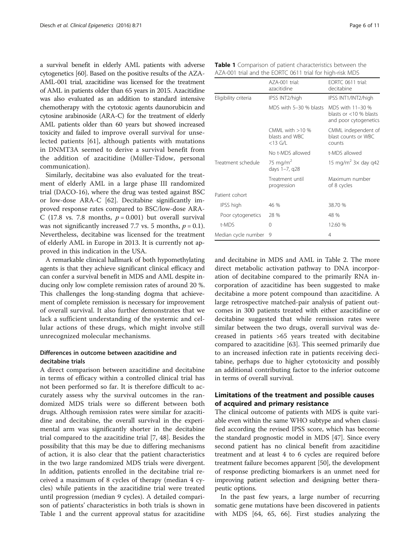a survival benefit in elderly AML patients with adverse cytogenetics [\[60\]](#page-9-0). Based on the positive results of the AZA-AML-001 trial, azacitidine was licensed for the treatment of AML in patients older than 65 years in 2015. Azacitidine was also evaluated as an addition to standard intensive chemotherapy with the cytotoxic agents daunorubicin and cytosine arabinoside (ARA-C) for the treatment of elderly AML patients older than 60 years but showed increased toxicity and failed to improve overall survival for unselected patients [[61\]](#page-9-0), although patients with mutations in DNMT3A seemed to derive a survival benefit from the addition of azacitidine (Müller-Tidow, personal communication).

Similarly, decitabine was also evaluated for the treatment of elderly AML in a large phase III randomized trial (DACO-16), where the drug was tested against BSC or low-dose ARA-C [\[62](#page-9-0)]. Decitabine significantly improved response rates compared to BSC/low-dose ARA-C (17.8 vs. 7.8 months,  $p = 0.001$ ) but overall survival was not significantly increased 7.7 vs. 5 months,  $p = 0.1$ ). Nevertheless, decitabine was licensed for the treatment of elderly AML in Europe in 2013. It is currently not approved in this indication in the USA.

A remarkable clinical hallmark of both hypomethylating agents is that they achieve significant clinical efficacy and can confer a survival benefit in MDS and AML despite inducing only low complete remission rates of around 20 %. This challenges the long-standing dogma that achievement of complete remission is necessary for improvement of overall survival. It also further demonstrates that we lack a sufficient understanding of the systemic and cellular actions of these drugs, which might involve still unrecognized molecular mechanisms.

#### Differences in outcome between azacitidine and decitabine trials

A direct comparison between azacitidine and decitabine in terms of efficacy within a controlled clinical trial has not been performed so far. It is therefore difficult to accurately assess why the survival outcomes in the randomized MDS trials were so different between both drugs. Although remission rates were similar for azacitidine and decitabine, the overall survival in the experimental arm was significantly shorter in the decitabine trial compared to the azacitidine trial [\[7](#page-8-0), [48](#page-9-0)]. Besides the possibility that this may be due to differing mechanisms of action, it is also clear that the patient characteristics in the two large randomized MDS trials were divergent. In addition, patients enrolled in the decitabine trial received a maximum of 8 cycles of therapy (median 4 cycles) while patients in the azacitidine trial were treated until progression (median 9 cycles). A detailed comparison of patients' characteristics in both trials is shown in Table 1 and the current approval status for azacitidine

|                      | AZA-001 trial:<br>azacitidine                     | EORTC 0611 trial:<br>decitabine                                        |  |
|----------------------|---------------------------------------------------|------------------------------------------------------------------------|--|
| Eligibility criteria | IPSS INT2/high                                    | IPSS INT1/INT2/high                                                    |  |
|                      | MDS with 5-30 % blasts                            | MDS with 11-30 %<br>blasts or $<$ 10 % blasts<br>and poor cytogenetics |  |
|                      | CMMI with $>10\%$<br>blasts and WBC<br>$<$ 13 G/L | CMML independent of<br>blast counts or WBC<br>counts                   |  |
|                      | No t-MDS allowed                                  | t-MDS allowed                                                          |  |
| Treatment schedule   | 75 mg/m <sup>2</sup><br>days 1-7, q28             | 15 mg/m <sup>2</sup> $3\times$ day g42                                 |  |
|                      | Treatment until<br>progression                    | Maximum number<br>of 8 cycles                                          |  |
| Patient cohort       |                                                   |                                                                        |  |
| IPSS high            | 46 %                                              | 38.70 %                                                                |  |
| Poor cytogenetics    | 28 %                                              | 48 %                                                                   |  |
| t-MDS                | 0                                                 | 12.60 %                                                                |  |
| Median cycle number  | 9                                                 | 4                                                                      |  |

and decitabine in MDS and AML in Table [2.](#page-6-0) The more direct metabolic activation pathway to DNA incorporation of decitabine compared to the primarily RNA incorporation of azacitidine has been suggested to make decitabine a more potent compound than azacitidine. A large retrospective matched-pair analysis of patient outcomes in 300 patients treated with either azacitidine or decitabine suggested that while remission rates were similar between the two drugs, overall survival was decreased in patients >65 years treated with decitabine compared to azacitidine [[63\]](#page-9-0). This seemed primarily due to an increased infection rate in patients receiving decitabine, perhaps due to higher cytotoxicity and possibly an additional contributing factor to the inferior outcome in terms of overall survival.

#### Limitations of the treatment and possible causes of acquired and primary resistance

The clinical outcome of patients with MDS is quite variable even within the same WHO subtype and when classified according the revised IPSS score, which has become the standard prognostic model in MDS [[47](#page-9-0)]. Since every second patient has no clinical benefit from azacitidine treatment and at least 4 to 6 cycles are required before treatment failure becomes apparent [[50](#page-9-0)], the development of response predicting biomarkers is an unmet need for improving patient selection and designing better therapeutic options.

In the past few years, a large number of recurring somatic gene mutations have been discovered in patients with MDS [[64, 65](#page-9-0), [66](#page-9-0)]. First studies analyzing the

|  |                                                          | <b>Table 1</b> Comparison of patient characteristics between the |
|--|----------------------------------------------------------|------------------------------------------------------------------|
|  | AZA-001 trial and the EORTC 0611 trial for high-risk MDS |                                                                  |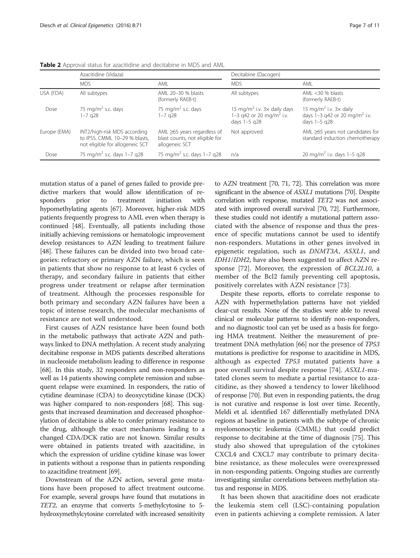|              | Azacitidine (Vidaza)                                                                             |                                                                                       | Decitabine (Dacogen)                                                                                   |                                                                                                           |
|--------------|--------------------------------------------------------------------------------------------------|---------------------------------------------------------------------------------------|--------------------------------------------------------------------------------------------------------|-----------------------------------------------------------------------------------------------------------|
|              | <b>MDS</b>                                                                                       | AMI                                                                                   | <b>MDS</b>                                                                                             | AML                                                                                                       |
| USA (FDA)    | All subtypes                                                                                     | AML 20-30 % blasts<br>(formerly RAEB-t)                                               | All subtypes                                                                                           | AMI < $30%$ blasts<br>(formerly RAEB-t)                                                                   |
| Dose         | 75 mg/m <sup>2</sup> s.c. days<br>$1 - 7$ q28                                                    | 75 mg/m <sup>2</sup> s.c. days<br>1-7 q28                                             | 15 mg/m <sup>2</sup> i.v. $3\times$ daily days<br>1–3 q42 or 20 mg/m <sup>2</sup> i.v.<br>days 1-5 g28 | 15 mg/m <sup>2</sup> i.v. $3 \times$ daily<br>days $1-3$ q42 or 20 mg/m <sup>2</sup> i.v.<br>days 1-5 g28 |
| Europe (EMA) | INT2/high-risk MDS according<br>to IPSS, CMML 10-29 % blasts,<br>not eligible for allogeneic SCT | AML $\geq$ 65 years regardless of<br>blast counts, not eligible for<br>allogeneic SCT | Not approved                                                                                           | AML $\geq$ 65 years not candidates for<br>standard induction chemotherapy                                 |
| Dose         | 75 mg/m <sup>2</sup> s.c. days 1-7 q28                                                           | 75 mg/m <sup>2</sup> s.c. days 1-7 q28                                                | n/a                                                                                                    | 20 mg/m <sup>2</sup> i.v. days $1-5$ q28                                                                  |

<span id="page-6-0"></span>Table 2 Approval status for azacitidine and decitabine in MDS and AML

mutation status of a panel of genes failed to provide predictive markers that would allow identification of responders prior to treatment initiation with hypomethylating agents [[67](#page-9-0)]. Moreover, higher-risk MDS patients frequently progress to AML even when therapy is continued [[48](#page-9-0)]. Eventually, all patients including those initially achieving remissions or hematologic improvement develop resistances to AZN leading to treatment failure [[48](#page-9-0)]. These failures can be divided into two broad categories: refractory or primary AZN failure, which is seen in patients that show no response to at least 6 cycles of therapy, and secondary failure in patients that either progress under treatment or relapse after termination of treatment. Although the processes responsible for both primary and secondary AZN failures have been a topic of intense research, the molecular mechanisms of resistance are not well understood.

First causes of AZN resistance have been found both in the metabolic pathways that activate AZN and pathways linked to DNA methylation. A recent study analyzing decitabine response in MDS patients described alterations in nucleoside metabolism leading to difference in response [[68](#page-9-0)]. In this study, 32 responders and non-responders as well as 14 patients showing complete remission and subsequent relapse were examined. In responders, the ratio of cytidine deaminase (CDA) to deoxycytidine kinase (DCK) was higher compared to non-responders [\[68\]](#page-9-0). This suggests that increased deamination and decreased phosphorylation of decitabine is able to confer primary resistance to the drug, although the exact mechanisms leading to a changed CDA/DCK ratio are not known. Similar results were obtained in patients treated with azacitidine, in which the expression of uridine cytidine kinase was lower in patients without a response than in patients responding to azacitidine treatment [\[69\]](#page-9-0).

Downstream of the AZN action, several gene mutations have been proposed to affect treatment outcome. For example, several groups have found that mutations in TET2, an enzyme that converts 5-methylcytosine to 5 hydroxymethylcytosine correlated with increased sensitivity

to AZN treatment [[70](#page-9-0), [71](#page-9-0), [72](#page-9-0)]. This correlation was more significant in the absence of ASXL1 mutations [[70](#page-9-0)]. Despite correlation with response, mutated TET2 was not associated with improved overall survival [\[70, 72\]](#page-9-0). Furthermore, these studies could not identify a mutational pattern associated with the absence of response and thus the presence of specific mutations cannot be used to identify non-responders. Mutations in other genes involved in epigenetic regulation, such as DNMT3A, ASXL1, and IDH1/IDH2, have also been suggested to affect AZN response [[72](#page-9-0)]. Moreover, the expression of BCL2L10, a member of the Bcl2 family preventing cell apoptosis, positively correlates with AZN resistance [\[73](#page-9-0)].

Despite these reports, efforts to correlate response to AZN with hypermethylation patterns have not yielded clear-cut results. None of the studies were able to reveal clinical or molecular patterns to identify non-responders, and no diagnostic tool can yet be used as a basis for forgoing HMA treatment. Neither the measurement of pretreatment DNA methylation [[66](#page-9-0)] nor the presence of TP53 mutations is predictive for response to azacitidine in MDS, although as expected TP53 mutated patients have a poor overall survival despite response [\[74](#page-9-0)]. ASXL1-mutated clones seem to mediate a partial resistance to azacitidine, as they showed a tendency to lower likelihood of response [[70](#page-9-0)]. But even in responding patients, the drug is not curative and response is lost over time. Recently, Meldi et al. identified 167 differentially methylated DNA regions at baseline in patients with the subtype of chronic myelomonocytic leukemia (CMML) that could predict response to decitabine at the time of diagnosis [\[75](#page-9-0)]. This study also showed that upregulation of the cytokines CXCL4 and CXCL7 may contribute to primary decitabine resistance, as these molecules were overexpressed in non-responding patients. Ongoing studies are currently investigating similar correlations between methylation status and response in MDS.

It has been shown that azacitidine does not eradicate the leukemia stem cell (LSC)-containing population even in patients achieving a complete remission. A later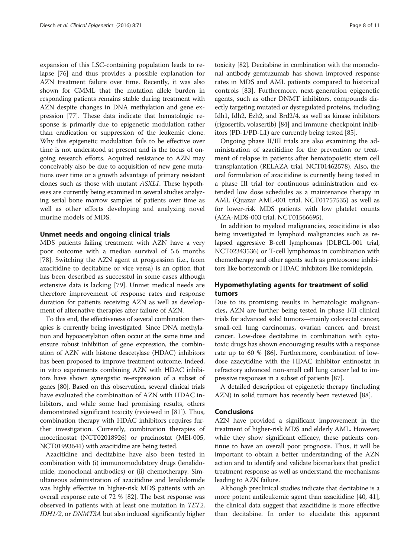expansion of this LSC-containing population leads to relapse [\[76](#page-9-0)] and thus provides a possible explanation for AZN treatment failure over time. Recently, it was also shown for CMML that the mutation allele burden in responding patients remains stable during treatment with AZN despite changes in DNA methylation and gene expression [\[77\]](#page-9-0). These data indicate that hematologic response is primarily due to epigenetic modulation rather than eradication or suppression of the leukemic clone. Why this epigenetic modulation fails to be effective over time is not understood at present and is the focus of ongoing research efforts. Acquired resistance to AZN may conceivably also be due to acquisition of new gene mutations over time or a growth advantage of primary resistant clones such as those with mutant ASXL1. These hypotheses are currently being examined in several studies analyzing serial bone marrow samples of patients over time as well as other efforts developing and analyzing novel murine models of MDS.

#### Unmet needs and ongoing clinical trials

MDS patients failing treatment with AZN have a very poor outcome with a median survival of 5.6 months [[78\]](#page-9-0). Switching the AZN agent at progression (i.e., from azacitidine to decitabine or vice versa) is an option that has been described as successful in some cases although extensive data is lacking [[79\]](#page-9-0). Unmet medical needs are therefore improvement of response rates and response duration for patients receiving AZN as well as development of alternative therapies after failure of AZN.

To this end, the effectiveness of several combination therapies is currently being investigated. Since DNA methylation and hypoacetylation often occur at the same time and ensure robust inhibition of gene expression, the combination of AZN with histone deacetylase (HDAC) inhibitors has been proposed to improve treatment outcome. Indeed, in vitro experiments combining AZN with HDAC inhibitors have shown synergistic re-expression of a subset of genes [\[80](#page-10-0)]. Based on this observation, several clinical trials have evaluated the combination of AZN with HDAC inhibitors, and while some had promising results, others demonstrated significant toxicity (reviewed in [[81](#page-10-0)]). Thus, combination therapy with HDAC inhibitors requires further investigation. Currently, combination therapies of mocetinostat (NCT02018926) or pracinostat (MEI-005, NCT01993641) with azacitidine are being tested.

Azacitidine and decitabine have also been tested in combination with (i) immunomodulatory drugs (lenalidomide, monoclonal antibodies) or (ii) chemotherapy. Simultaneous administration of azacitidine and lenalidomide was highly effective in higher-risk MDS patients with an overall response rate of 72 % [[82](#page-10-0)]. The best response was observed in patients with at least one mutation in TET2, IDH1/2, or DNMT3A but also induced significantly higher

toxicity [\[82\]](#page-10-0). Decitabine in combination with the monoclonal antibody gemtuzumab has shown improved response rates in MDS and AML patients compared to historical controls [\[83](#page-10-0)]. Furthermore, next-generation epigenetic agents, such as other DNMT inhibitors, compounds directly targeting mutated or dysregulated proteins, including Idh1, Idh2, Ezh2, and Brd2/4, as well as kinase inhibitors (rigosertib, volasertib) [\[84\]](#page-10-0) and immune checkpoint inhibitors (PD-1/PD-L1) are currently being tested [\[85\]](#page-10-0).

Ongoing phase II/III trials are also examining the administration of azacitidine for the prevention or treatment of relapse in patients after hematopoietic stem cell transplantation (RELAZA trial, NCT01462578). Also, the oral formulation of azacitidine is currently being tested in a phase III trial for continuous administration and extended low dose schedules as a maintenance therapy in AML (Quazar AML-001 trial, NCT01757535) as well as for lower-risk MDS patients with low platelet counts (AZA-MDS-003 trial, NCT01566695).

In addition to myeloid malignancies, azacitidine is also being investigated in lymphoid malignancies such as relapsed aggressive B-cell lymphomas (DLBCL-001 trial, NCT02343536) or T-cell lymphomas in combination with chemotherapy and other agents such as proteosome inhibitors like bortezomib or HDAC inhibitors like romidepsin.

#### Hypomethylating agents for treatment of solid tumors

Due to its promising results in hematologic malignancies, AZN are further being tested in phase I/II clinical trials for advanced solid tumors—mainly colorectal cancer, small-cell lung carcinomas, ovarian cancer, and breast cancer. Low-dose decitabine in combination with cytotoxic drugs has shown encouraging results with a response rate up to 60 % [\[86\]](#page-10-0). Furthermore, combination of lowdose azacytidine with the HDAC inhibitor entinostat in refractory advanced non-small cell lung cancer led to impressive responses in a subset of patients [\[87\]](#page-10-0).

A detailed description of epigenetic therapy (including AZN) in solid tumors has recently been reviewed [\[88](#page-10-0)].

#### Conclusions

AZN have provided a significant improvement in the treatment of higher-risk MDS and elderly AML. However, while they show significant efficacy, these patients continue to have an overall poor prognosis. Thus, it will be important to obtain a better understanding of the AZN action and to identify and validate biomarkers that predict treatment response as well as understand the mechanisms leading to AZN failure.

Although preclinical studies indicate that decitabine is a more potent antileukemic agent than azacitidine [[40](#page-9-0), [41](#page-9-0)], the clinical data suggest that azacitidine is more effective than decitabine. In order to elucidate this apparent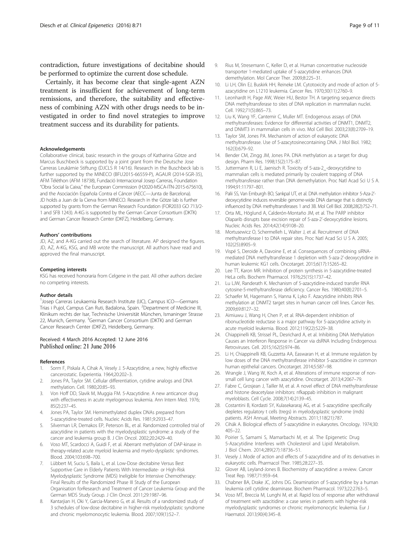<span id="page-8-0"></span>contradiction, future investigations of decitabine should be performed to optimize the current dose schedule.

Certainly, it has become clear that single-agent AZN treatment is insufficient for achievement of long-term remissions, and therefore, the suitability and effectiveness of combining AZN with other drugs needs to be investigated in order to find novel strategies to improve treatment success and its durability for patients.

#### Acknowledgements

Collaborative clinical, basic research in the groups of Katharina Götze and Marcus Buschbeck is supported by a joint grant from the Deutsche Jose Carreras Leukämie Stiftung (DJCLS R 14/16). Research in the Buschbeck lab is further supported by the MINECO (BFU2015-66559-P), AGAUR (2014-SGR-35), AFM Téléthon (AFM 18738), Fundació Internacional Josep Carreras, Foundation "Obra Social la Caixa," the European Commission (H2020-MSCA-ITN-2015-675610), and the Asociación Española Contra el Cáncer (AECC—Junta de Barcelona). JD holds a Juan de la Cierva from MINECO. Research in the Götze lab is further supported by grants from the German Research Foundation (FOR2033 GO 713/2- 1 and SFB 1243). A-KG is supported by the German Cancer Consortium (DKTK) and German Cancer Research Center (DKFZ), Heidelberg, Germany.

#### Authors' contributions

JD, AZ, and A-KG carried out the search of literature. AP designed the figures. JD, AZ, A-KG, KSG, and MB wrote the manuscript. All authors have read and approved the final manuscript.

#### Competing interests

KSG has received honoraria from Celgene in the past. All other authors declare no competing interests.

#### Author details

<sup>1</sup> Josep Carreras Leukaemia Research Institute (IJC), Campus ICO—Germans Trias i Pujol, Campus Can Ruti, Badalona, Spain. <sup>2</sup>Department of Medicine III, Klinikum rechts der Isar, Technische Universität München, Ismaninger Strasse 22, Munich, Germany. <sup>3</sup>German Cancer Consortium (DKTK) and German Cancer Research Center (DKFZ), Heidelberg, Germany.

## Received: 4 March 2016 Accepted: 12 June 2016<br>Published online: 21 June 2016

#### References

- 1. Sorm F, Piskala A, Cihak A, Vesely J. 5-Azacytidine, a new, highly effective cancerostatic. Experientia. 1964;20:202–3.
- 2. Jones PA, Taylor SM. Cellular differentiation, cytidine analogs and DNA methylation. Cell. 1980;20:85–93.
- 3. Von Hoff DD, Slavik M, Muggia FM. 5-Azacytidine. A new anticancer drug with effectiveness in acute myelogenous leukemia. Ann Intern Med. 1976; 85(2):237–45.
- 4. Jones PA, Taylor SM. Hemimethylated duplex DNAs prepared from 5-azacytidine-treated cells. Nucleic Acids Res. 1981;9:2933–47.
- 5. Silverman LR, Demakos EP, Peterson BL, et al. Randomized controlled trial of azacytidine in patients with the myelodysplastic syndrome: a study of the cancer and leukemia group B. J Clin Oncol. 2002;20:2429–40.
- Voso MT, Scardocci A, Guidi F, et al. Aberrant methylation of DAP-kinase in therapy-related acute myeloid leukemia and myelo-dysplastic syndromes. Blood. 2004;103:698–700.
- 7. Lübbert M, Suciu S, Baila L, et al. Low-Dose decitabine Versus Best Supportive Care in Elderly Patients With Intermediate- or High-Risk Myelodysplastic Syndrome (MDS) Ineligible for Intensive Chemotherapy: Final Results of the Randomized Phase III Study of the European Organisation forResearch and Treatment of Cancer Leukemia Group and the German MDS Study Group. J Clin Oncol. 2011;29:1987–96.
- Kantarjian H, Oki Y, Garcia-Manero G, et al. Results of a randomized study of 3 schedules of low-dose decitabine in higher-risk myelodysplastic syndrome and chronic myelomonocytic leukemia. Blood. 2007;109(1):52–7.
- 9. Rius M, Stresemann C, Keller D, et al. Human concentrative nucleoside transporter 1-mediated uptake of 5-azacytidine enhances DNA demethylation. Mol Cancer Ther. 2009;8:225–31.
- 10. Li LH, Olin EJ, Buskirk HH, Reineke LM. Cytotoxicity and mode of action of 5 azacytidine on L1210 leukemia. Cancer Res. 1970;30(11):2760–9.
- 11. Leonhardt H, Page AW, Weier HU, Bestor TH. A targeting sequence directs DNA methyltransferase to sites of DNA replication in mammalian nuclei. Cell. 1992;71(5):865–73.
- 12. Liu K, Wang YF, Cantemir C, Muller MT. Endogenous assays of DNA methyltransferases: Evidence for differential activities of DNMT1, DNMT2, and DNMT3 in mammalian cells in vivo. Mol Cell Biol. 2003;23(8):2709–19.
- 13. Taylor SM, Jones PA. Mechanism of action of eukaryotic DNA methyltransferase. Use of 5-azacytosinecontaining DNA. J Mol Biol. 1982; 162(3):679–92.
- 14. Bender CM, Zingg JM, Jones PA. DNA methylation as a target for drug design. Pharm Res. 1998;15(2):175–87.
- 15. Juttermann R, Li E, Jaenisch R. Toxicity of 5-aza-2\_-deoxycytidine to mammalian cells is mediated primarily by covalent trapping of DNA methyltransferase rather than DNA demethylation. Proc Natl Acad Sci U S A. 1994;91:11797–801.
- 16. Palii SS, Van Emburgh BO, Sankpal UT, et al. DNA methylation inhibitor 5-Aza-2' deoxycytidine induces reversible genome-wide DNA damage that is distinctly influenced by DNA methyltransferases 1 and 3B. Mol Cell Biol. 2008;28(2):752–71.
- 17. Orta ML, Höglund A, Calderón-Montaño JM, et al. The PARP inhibitor Olaparib disrupts base excision repair of 5-aza-2'-deoxycytidine lesions. Nucleic Acids Res. 2014;42(14):9108–20.
- 18. Mortusewicz O, Schermelleh L, Walter J, et al. Recruitment of DNA methyltransferase I to DNA repair sites. Proc Natl Acad Sci U S A. 2005; 102(25):8905–9.
- 19. Vispé S, Deroide A, Davoine E, et al. Consequences of combining siRNAmediated DNA methyltransferase 1 depletion with 5-aza-2'-deoxycytidine in human leukemic KG1 cells. Oncotarget. 2015;6(17):15265–82.
- 20. Lee TT, Karon MR. Inhibition of protein synthesis in 5-azacytidine-treated HeLa cells. Biochem Pharmacol. 1976;25(15):1737–42.
- 21. Lu LJW, Randerath K. Mechanism of 5-azacytidine-induced transfer RNA cytosine-5-methyltransferase deficiency. Cancer Res. 1980;40(8):2701–5.
- 22. Schaefer M, Hagemann S, Hanna K, Lyko F. Azacytidine inhibits RNA methylation at DNMT2 target sites in human cancer cell lines. Cancer Res. 2009;69:8127–32.
- 23. Aimiuwu J, Wang H, Chen P, et al. RNA-dependent inhibition of ribonucleotide reductase is a major pathway for 5-azacytidine activity in acute myeloid leukemia. Blood. 2012;119(22):5229–38.
- 24. Chiappinelli KB, Strissel PL, Desrichard A, et al. Inhibiting DNA Methylation Causes an Interferon Response in Cancer via dsRNA Including Endogenous Retroviruses. Cell. 2015;162(5):974–86.
- 25. Li H, Chiappinelli KB, Guzzetta AA, Easwaran H, et al. Immune regulation by low doses of the DNA methyltransferase inhibitor 5-azacitidine in common human epithelial cancers. Oncotarget. 2014;5:587–98.
- 26. Wrangle J, Wang W, Koch A, et al. Alterations of immune response of nonsmall cell lung cancer with azacytidine. Oncotarget. 2013;4:2067–79.
- 27. Fabre C, Grosjean J, Tailler M, et al. A novel effect of DNA methyltransferase and histone deacetylase inhibitors: nfkappab inhibition in malignant myeloblasts. Cell Cycle. 2008;7(14):2139–45.
- 28. Costantini B, Kordasti SY, Kulasekararaj AG, et al. 5-azacytidine specifically depletes regulatory t cells (tregs) in myelodysplastic syndrome (mds) patients. ASH Annual, Meeting Abstracts. 2011;118(21):787.
- 29. Cihák A. Biological effects of 5-azacytidine in eukaryotes. Oncology. 1974;30: 405–22.
- 30. Poirier S, Samami S, Mamarbachi M, et al. The Epigenetic Drug 5-Azacytidine Interferes with Cholesterol and Lipid Metabolism. J Biol Chem. 2014;289(27):18736–51.
- 31. Vesely J. Mode of action and effects of 5-azacytidine and of its derivatives in eukaryotic cells. Pharmacol Ther. 1985;28:227–35.
- 32. Glover AB, Leyland-Jones B. Biochemistry of azacytidine: a review. Cancer Treat Rep. 1987;71:959–64.
- 33. Chabner BA, Drake JC, Johns DG. Deamination of 5-azacytidine by a human leukemia cell cytidine deaminase. Biochem Pharmacol. 1973;22:2763–5.
- 34. Voso MT, Breccia M, Lunghi M, et al. Rapid loss of response after withdrawal of treatment with azacitidine: a case series in patients with higher-risk myelodysplastic syndromes or chronic myelomonocytic leukemia. Eur J Haematol. 2013;90(4):345–8.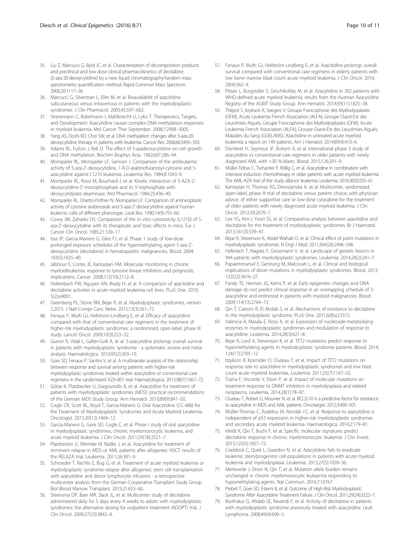- <span id="page-9-0"></span>35. Liu Z, Marcucci G, Byrd JC, et al. Characterization of decomposition products and preclinical and low dose clinical pharmacokinetics of decitabine (5-aza-20-deoxycytidine) by a new liquid chromatography/tandem mass spectrometry quantification method. Rapid Commun Mass Spectrom. 2006;20:1117–26.
- 36. Marcucci G, Silverman L, Eller M, et al. Bioavailabilit of azacitidine subcutaneous versus intravenous in patients with the myelodysplastic syndromes. J Clin Pharmacol. 2005;45:597–602.
- 37. Stresemann C, Bokelmann I, Mahlknecht U, Lyko T. Therapeutics, Targets, and Development: Azacytidine causes complex DNA methylation responses in myeloid leukemia. Mol Cancer Ther September. 2008;7:2998–3005.
- 38. Yang AS, Doshi KD, Choi SW, et al. DNA methylation changes after 5-aza-20 deoxycytidine therapy in patients with leukemia. Cancer Res. 2006;66:5495–503.
- 39. Adams RL, Fulton J, Kirk D. The effect of 5-azadeoxycytidine on cell growth and DNA methylation. Biochim Biophys Acta. 1982;697:286–94.
- 40. Momparler RL, Momparler LF, Samson J. Comparison of the antileukemic activity of 5-aza-2'-deoxycytidine, 1-ß-D-arabinofuranosyl-cytosine and 5 azacytidine against L1210 leukemia. Leukemia Res. 1984;8:1043–9.
- 41. Momparler RL, Rossi M, Bouchard J, et al. Kinetic interaction of 5-AZA-2' deoxycytidine-5'-monophosphate and its 5'-triphosphate with deoxycytidylate deaminase. Mol Pharmacol. 1984;25:436–40.
- 42. Momparler RL, Onetto-Pothier N, Momparler LF. Comparison of antineoplastic activity of cytosine arabinoside and 5-aza-2'-deoxycytidine against human leukemic cells of different phenotype. Leuk Res. 1990;14(9):755–60.
- 43. Covey JM, Zaharko DS. Comparison of the in vitro cytotoxicity (L1210) of 5 aza-2'-deoxycytidine with its therapeutic and toxic effects in mice. Eur J Cancer Clin Oncol. 1985;21:109–17.
- 44. Issa JP, Garcia-Manero G, Giles FJ, et al. Phase 1 study of low-dose prolonged exposure schedules of the hypomethylating agent 5-aza-2' deoxycytidine (decitabine) in hematopoietic malignancies. Blood. 2004; 103(5):1635–40.
- 45. Jabbour E, Cortes JE, Kantarjian HM. Molecular monitoring in chronic myeloidleukemia: response to tyrosine kinase inhibitors and prognostic implications. Cancer. 2008;112(10):2112–8.
- 46. Hollenbach PW, Nguyen AN, Brady H, et al. A comparison of azacitidine and decitabine activities in acute myeloid leukemia cell lines. PLoS One. 2010; 5(2):e9001.
- 47. Greenberg PL, Stone RM, Bejar R, et al. Myelodysplastic syndromes, version 2.2015. J Natl Compr Canc Netw. 2015;13(3):261–72.
- 48. Fenaux P, Mufti GJ, Hellstrom-Lindberg E, et al. Efficacy of azacytidine compared with that of conventional care regimens in the treatment of higher-risk myelodysplastic syndromes: a randomised, open-label, phase III study. Lancet Oncol. 2009;10(3):223–32.
- 49. Gurion R, Vidal L, Gafter-Gvili A, et al. 5-azacytidine prolongs overall survival in patients with myelodysplastic syndrome - a systematic review and metaanalysis. Haematologica. 2010;95(2):303–10.
- 50. Gore SD, Fenaux P, Santini V, et al. A multivariate analysis of the relationship between response and survival among patients with higher-risk myelodysplastic syndromes treated within azacytidine or conventional care regimens in the randomized AZA-001 trial. Haematologica. 2013;98(7):1067–72.
- 51. Götze K, Platzbecker U, Giagounidis A, et al. Azacitidine for treatment of patients with myelodysplastic syndromes (MDS): practical recommendations of the German MDS Study Group. Ann Hematol. 2010;89(9):841–50.
- 52. Cogle CR, Scott BL, Boyd T, Garcia-Manero G. Oral Azacytidine (CC-486) for the Treatment of Myelodysplastic Syndromes and Acute Myeloid Leukemia. Oncologist. 2015;20(12):1404–12.
- 53. Garcia-Manero G, Gore SD, Cogle C, et al. Phase I study of oral azacytidine in myelodysplastic syndromes, chronic myelomonocytic leukemia, and acute myeloid leukemia. J Clin Oncol. 2011;29(18):2521–7.
- 54. Platzbecker U, Wermke M, Radke J, et al. Azacytidine for treatment of imminent relapse in MDS or AML patients after allogeneic HSCT: results of the RELAZA trial. Leukemia. 2011;26:381–9.
- 55. Schroeder T, Rachlis E, Bug G, et al. Treatment of acute myeloid leukemia or myelodysplastic syndrome relapse after allogeneic stem cell transplantation with azacytidine and donor lymphocyte infusions - a retrospective multicenter analysis from the German Cooperative Transplant Study Group. Biol Blood Marrow Transplant. 2015;21:653–60.
- 56. Steensma DP, Baer MR, Slack JL, et al. Multicenter study of decitabine administered daily for 5 days every 4 weeks to adults with myelodysplastic syndromes: the alternative dosing for outpatient treatment (ADOPT) trial. J Clin Oncol. 2009;27(23):3842–8.
- 57. Fenaux P, Mufti GJ, Hellström-Lindberg E, et al. Azacitidine prolongs overall survival compared with conventional care regimens in elderly patients with low bone marrow blast count acute myeloid leukemia. J Clin Oncol. 2010; 28(4):562–9.
- 58. Pleyer L, Burgstaller S, Girschikofsky M, et al. Azacytidine in 302 patients with WHO-defined acute myeloid leukemia: results from the Austrian Azacytidine Registry of the AGMT-Study Group. Ann Hematol. 2014;93(11):1825–38.
- 59. Thépot S, Itzykson R, Seegers V, Groupe Francophone des Myélodysplasies (GFM), Acute Leukemia French Association (ALFA); Groupe Ouest-Est des Leucémies Aiguës, Groupe Francophone des Myélodysplasies (GFM), Acute Leukemia French Association (ALFA); Groupe Ouest-Est des Leucémies Aiguës; Maladies du Sang (GOELAMS). Azacitidine in untreated acute myeloid leukemia: a report on 149 patients. Am J Hematol. 2014;89(4):410–6.
- 60. Dombret H, Seymour JF, Butrym A, et al. International phase 3 study of azacytidine vs conventional care regimens in older patients with newly diagnosed AML with >30 % blasts. Blood. 2015;126:291–9.
- 61. Müller-Tidow C, Tschanter P, Röllig C, et al. Azacytidine in combination with intensive induction chemotherapy in older patients with acute myeloid leukemia: The AML-AZA trial of the study alliance leukemia. Leukemia. 2016;30(3):555–61.
- 62. Kantarjian H, Thomas XG, Dmoszynska A, et al. Multicenter, randomized, open-label, phase III trial of decitabine versus patient choice, with physician advice, of either supportive care or low-dose cytarabine for the treatment of older patients with newly diagnosed acute myeloid leukemia. J Clin Oncol. 2012;30:2670–7.
- 63. Lee YG, Kim I, Yoon SS, et al. Comparative analysis between azacitidine and decitabine for the treatment of myelodysplastic syndromes. Br J Haematol. 2013;161(3):339–47.
- 64. Bejar R, Stevenson K, Abdel-Wahab O, et al. Clinical effect of point mutations in myelodysplastic syndromes. N Engl J Med. 2011;364(26):2496–506.
- 65. Haferlach T, Nagata Y, Grossmann V, et al. Landscape of genetic lesions in 944 patients with myelodysplastic syndromes. Leukemia. 2014;28(2):241–7.
- 66. Papaemmanuil E, Gerstung M, Malcovati L, et al. Clinical and biological implications of driver mutations in myelodysplastic syndromes. Blood. 2013; 122(22):3616–27.
- 67. Fandy TE, Herman JG, Kerns P, et al. Early epigenetic changes and DNA damage do not predict clinical response in an overlapping schedule of 5 azacytidine and entinostat in patients with myeloid malignancies. Blood. 2009;114(13):2764–73.
- Qin T, Castoro R, El Ahdab S, et al. Mechanisms of resistance to decitabine in the myelodysplastic syndrome. PLoS One. 2011;6(8):e23372.
- 69. Valencia A, Masala E, Rossi A, et al. Expression of nucleoside-metabolizing enzymes in myelodysplastic syndromes and modulation of response to azacytidine. Leukemia. 2014;28(3):621–8.
- 70. Bejar R, Lord A, Stevenson K, et al. TET2 mutations predict response to hypomethylating agents in myelodysplastic syndrome patients. Blood. 2014; 124(17):2705–12.
- 71. Itzykson R, Kosmider O, Cluzeau T, et al. Impact of TET2 mutations on response rate to azacitidine in myelodysplastic syndromes and low blast count acute myeloid leukemias. Leukemia. 2011;25(7):1147–52.
- 72. Traina F, Visconte V, Elson P, et al. Impact of molecular mutations on treatment response to DNMT inhibitors in myelodysplasia and related neoplasms. Leukemia. 2014;28(1):78–87.
- 73. Cluzeau T, Robert G, Mounier N, et al. BCL2L10 is a predictive factor for resistance to azacytidine in MDS and AML patients. Oncotarget. 2012;3:490–501.
- 74. Müller-Thomas C, Rudelius M, Rondak I-C, et al. Response to azacytidine is independent of p53 expression in higher-risk myelodysplastic syndromes and secondary acute myeloid leukemia. Haematologica. 2014;2:179–81.
- 75. Meldi K, Qin T, Buchi F, et al. Specific molecular signatures predict decitabine response in chronic myelomonocytic leukemia. J Clin Invest. 2015;125(5):1857–72.
- 76. Craddock C, Quek L, Goardon N, et al. Azacytidine fails to eradicate leukemic stem/progenitor cell populations in patients with acute myeloid leukemia and myelodysplasia. Leukemia. 2013;27(5):1028–36.
- 77. Merlevede J, Droin N, Qin T, et al. Mutation allele burden remains unchanged in chronic myelomonocytic leukaemia responding to hypomethylating agents. Nat Commun. 2016;7:10767.
- 78. Prebet T, Gore SD, Esterni B, et al. Outcome of High-Risk Myelodysplastic Syndrome After Azacytidine Treatment Failure. J Clin Oncol. 2011;29(24):3322–7.
- 79. Borthakur G, Ahdab SE, Ravandi F, et al. Activity of decitabine in patients with myelodysplastic syndrome previously treated with azacytidine. Leuk Lymphoma. 2008;49(4):690–5.